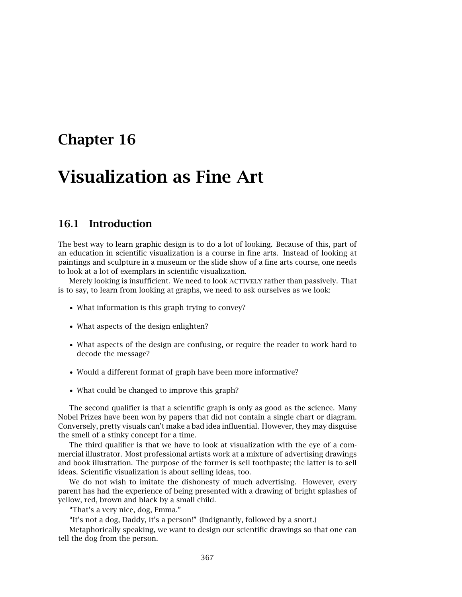## **Chapter 16**

# **Visualization as Fine Art**

### **16.1 Introduction**

The best way to learn graphic design is to do a lot of looking. Because of this, part of an education in scientific visualization is a course in fine arts. Instead of looking at paintings and sculpture in a museum or the slide show of a fine arts course, one needs to look at a lot of exemplars in scientific visualization.

Merely looking is insufficient. We need to look ACTIVELY rather than passively. That is to say, to learn from looking at graphs, we need to ask ourselves as we look:

- What information is this graph trying to convey?
- What aspects of the design enlighten?
- What aspects of the design are confusing, or require the reader to work hard to decode the message?
- Would a different format of graph have been more informative?
- What could be changed to improve this graph?

The second qualifier is that a scientific graph is only as good as the science. Many Nobel Prizes have been won by papers that did not contain a single chart or diagram. Conversely, pretty visuals can't make a bad idea influential. However, they may disguise the smell of a stinky concept for a time.

The third qualifier is that we have to look at visualization with the eye of a commercial illustrator. Most professional artists work at a mixture of advertising drawings and book illustration. The purpose of the former is sell toothpaste; the latter is to sell ideas. Scientific visualization is about selling ideas, too.

We do not wish to imitate the dishonesty of much advertising. However, every parent has had the experience of being presented with a drawing of bright splashes of yellow, red, brown and black by a small child.

"That's a very nice, dog, Emma."

"It's not a dog, Daddy, it's a person!" (Indignantly, followed by a snort.)

Metaphorically speaking, we want to design our scientific drawings so that one can tell the dog from the person.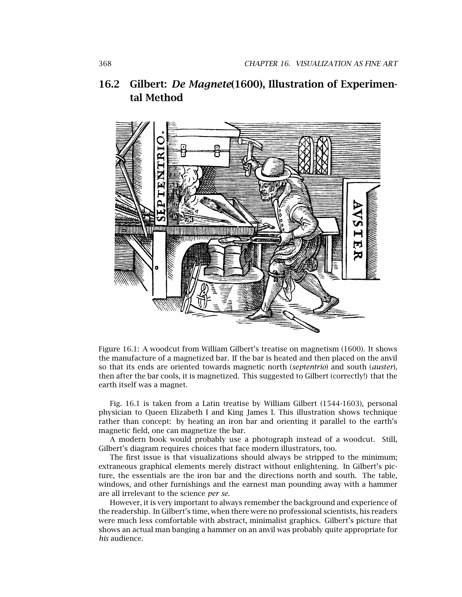## 16.2 Gilbert: *De Magnete*(1600), Illustration of Experimen**tal Method**



Figure 16.1: A woodcut from William Gilbert's treatise on magnetism (1600). It shows the manufacture of a magnetized bar. If the bar is heated and then placed on the anvil so that its ends are oriented towards magnetic north (*septentrio*) and south (*auster*), then after the bar cools, it is magnetized. This suggested to Gilbert (correctly!) that the earth itself was a magnet.

Fig. 16.1 is taken from a Latin treatise by William Gilbert (1544-1603), personal physician to Queen Elizabeth I and King James I. This illustration shows technique rather than concept: by heating an iron bar and orienting it parallel to the earth's magnetic field, one can magnetize the bar.

A modern book would probably use a photograph instead of a woodcut. Still, Gilbert's diagram requires choices that face modern illustrators, too.

The first issue is that visualizations should always be stripped to the minimum; extraneous graphical elements merely distract without enlightening. In Gilbert's picture, the essentials are the iron bar and the directions north and south. The table, windows, and other furnishings and the earnest man pounding away with a hammer are all irrelevant to the science *per se*.

However, it is very important to always remember the background and experience of the readership. In Gilbert's time, when there were no professional scientists, his readers were much less comfortable with abstract, minimalist graphics. Gilbert's picture that shows an actual man banging a hammer on an anvil was probably quite appropriate for *his* audience.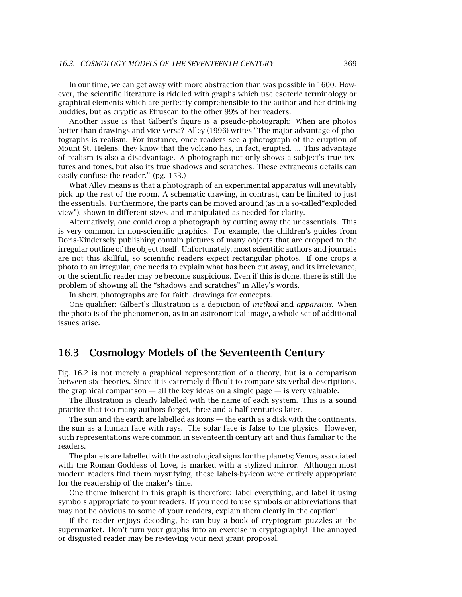In our time, we can get away with more abstraction than was possible in 1600. However, the scientific literature is riddled with graphs which use esoteric terminology or graphical elements which are perfectly comprehensible to the author and her drinking buddies, but as cryptic as Etruscan to the other 99% of her readers.

Another issue is that Gilbert's figure is a pseudo-photograph: When are photos better than drawings and vice-versa? Alley (1996) writes "The major advantage of photographs is realism. For instance, once readers see a photograph of the eruption of Mount St. Helens, they know that the volcano has, in fact, erupted. ... This advantage of realism is also a disadvantage. A photograph not only shows a subject's true textures and tones, but also its true shadows and scratches. These extraneous details can easily confuse the reader." (pg. 153.)

What Alley means is that a photograph of an experimental apparatus will inevitably pick up the rest of the room. A schematic drawing, in contrast, can be limited to just the essentials. Furthermore, the parts can be moved around (as in a so-called"exploded view"), shown in different sizes, and manipulated as needed for clarity.

Alternatively, one could crop a photograph by cutting away the unessentials. This is very common in non-scientific graphics. For example, the children's guides from Doris-Kindersely publishing contain pictures of many objects that are cropped to the irregular outline of the object itself. Unfortunately, most scientific authors and journals are not this skillful, so scientific readers expect rectangular photos. If one crops a photo to an irregular, one needs to explain what has been cut away, and its irrelevance, or the scientific reader may be become suspicious. Even if this is done, there is still the problem of showing all the "shadows and scratches" in Alley's words.

In short, photographs are for faith, drawings for concepts.

One qualifier: Gilbert's illustration is a depiction of *method* and *apparatus*. When the photo is of the phenomenon, as in an astronomical image, a whole set of additional issues arise.

#### **16.3 Cosmology Models of the Seventeenth Century**

Fig. 16.2 is not merely a graphical representation of a theory, but is a comparison between six theories. Since it is extremely difficult to compare six verbal descriptions, the graphical comparison  $-$  all the key ideas on a single page  $-$  is very valuable.

The illustration is clearly labelled with the name of each system. This is a sound practice that too many authors forget, three-and-a-half centuries later.

The sun and the earth are labelled as icons — the earth as a disk with the continents, the sun as a human face with rays. The solar face is false to the physics. However, such representations were common in seventeenth century art and thus familiar to the readers.

The planets are labelled with the astrological signs for the planets; Venus, associated with the Roman Goddess of Love, is marked with a stylized mirror. Although most modern readers find them mystifying, these labels-by-icon were entirely appropriate for the readership of the maker's time.

One theme inherent in this graph is therefore: label everything, and label it using symbols appropriate to your readers. If you need to use symbols or abbreviations that may not be obvious to some of your readers, explain them clearly in the caption!

If the reader enjoys decoding, he can buy a book of cryptogram puzzles at the supermarket. Don't turn your graphs into an exercise in cryptography! The annoyed or disgusted reader may be reviewing your next grant proposal.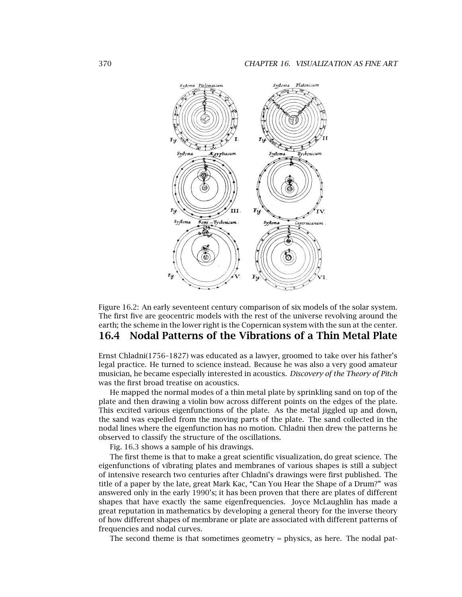

Figure 16.2: An early seventeent century comparison of six models of the solar system. The first five are geocentric models with the rest of the universe revolving around the earth; the scheme in the lower right is the Copernican system with the sun at the center.

## **16.4 Nodal Patterns of the Vibrations of a Thin Metal Plate**

Ernst Chladni(1756–1827) was educated as a lawyer, groomed to take over his father's legal practice. He turned to science instead. Because he was also a very good amateur musician, he became especially interested in acoustics. *Discovery of the Theory of Pitch* was the first broad treatise on acoustics.

He mapped the normal modes of a thin metal plate by sprinkling sand on top of the plate and then drawing a violin bow across different points on the edges of the plate. This excited various eigenfunctions of the plate. As the metal jiggled up and down, the sand was expelled from the moving parts of the plate. The sand collected in the nodal lines where the eigenfunction has no motion. Chladni then drew the patterns he observed to classify the structure of the oscillations.

Fig. 16.3 shows a sample of his drawings.

The first theme is that to make a great scientific visualization, do great science. The eigenfunctions of vibrating plates and membranes of various shapes is still a subject of intensive research two centuries after Chladni's drawings were first published. The title of a paper by the late, great Mark Kac, "Can You Hear the Shape of a Drum?" was answered only in the early 1990's; it has been proven that there are plates of different shapes that have exactly the same eigenfrequencies. Joyce McLaughlin has made a great reputation in mathematics by developing a general theory for the inverse theory of how different shapes of membrane or plate are associated with different patterns of frequencies and nodal curves.

The second theme is that sometimes geometry = physics, as here. The nodal pat-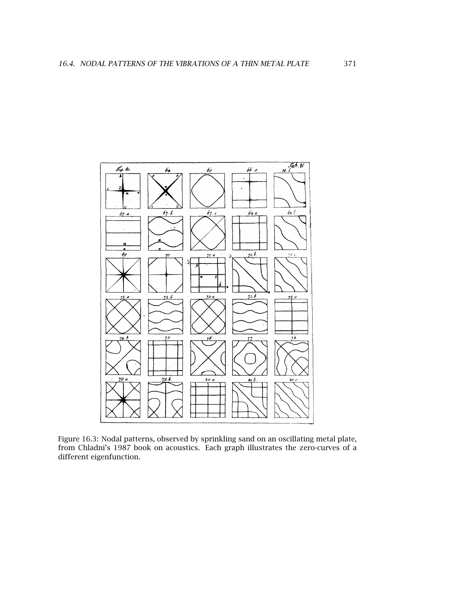

Figure 16.3: Nodal patterns, observed by sprinkling sand on an oscillating metal plate, from Chladni's 1987 book on acoustics. Each graph illustrates the zero-curves of a different eigenfunction.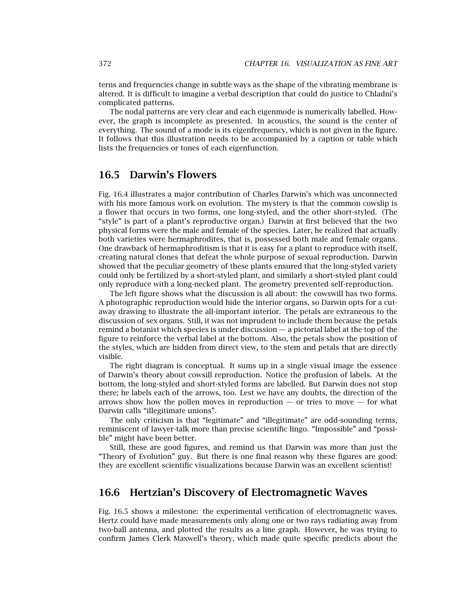terns and frequencies change in subtle ways as the shape of the vibrating membrane is altered. It is difficult to imagine a verbal description that could do justice to Chladni's complicated patterns.

The nodal patterns are very clear and each eigenmode is numerically labelled. However, the graph is incomplete as presented. In acoustics, the sound is the center of everything. The sound of a mode is its eigenfrequency, which is not given in the figure. It follows that this illustration needs to be accompanied by a caption or table which lists the frequencies or tones of each eigenfunction.

## **16.5 Darwin's Flowers**

Fig. 16.4 illustrates a major contribution of Charles Darwin's which was unconnected with his more famous work on evolution. The mystery is that the common cowslip is a flower that occurs in two forms, one long-styled, and the other short-styled. (The "style" is part of a plant's reproductive organ.) Darwin at first believed that the two physical forms were the male and female of the species. Later, he realized that actually both varieties were hermaphrodites, that is, possessed both male and female organs. One drawback of hermaphroditism is that it is easy for a plant to reproduce with itself, creating natural clones that defeat the whole purpose of sexual reproduction. Darwin showed that the peculiar geometry of these plants ensured that the long-styled variety could only be fertilized by a short-styled plant, and similarly a short-styled plant could only reproduce with a long-necked plant. The geometry prevented self-reproduction.

The left figure shows what the discussion is all about: the cowswill has two forms. A photographic reproduction would hide the interior organs, so Darwin opts for a cutaway drawing to illustrate the all-important interior. The petals are extraneous to the discussion of sex organs. Still, it was not imprudent to include them because the petals remind a botanist which species is under discussion — a pictorial label at the top of the figure to reinforce the verbal label at the bottom. Also, the petals show the position of the styles, which are hidden from direct view, to the stem and petals that are directly visible.

The right diagram is conceptual. It sums up in a single visual image the essence of Darwin's theory about cowsill reproduction. Notice the profusion of labels. At the bottom, the long-styled and short-styled forms are labelled. But Darwin does not stop there; he labels each of the arrows, too. Lest we have any doubts, the direction of the arrows show how the pollen moves in reproduction  $-$  or tries to move  $-$  for what Darwin calls "illegitimate unions".

The only criticism is that "legitimate" and "illegitimate" are odd-sounding terms, reminiscent of lawyer-talk more than precise scientific lingo. "Impossible" and "possible" might have been better.

Still, these are good figures, and remind us that Darwin was more than just the "Theory of Evolution" guy. But there is one final reason why these figures are good: they are excellent scientific visualizations because Darwin was an excellent scientist!

#### **16.6 Hertzian's Discovery of Electromagnetic Waves**

Fig. 16.5 shows a milestone: the experimental verification of electromagnetic waves. Hertz could have made measurements only along one or two rays radiating away from two-ball antenna, and plotted the results as a line graph. However, he was trying to confirm James Clerk Maxwell's theory, which made quite specific predicts about the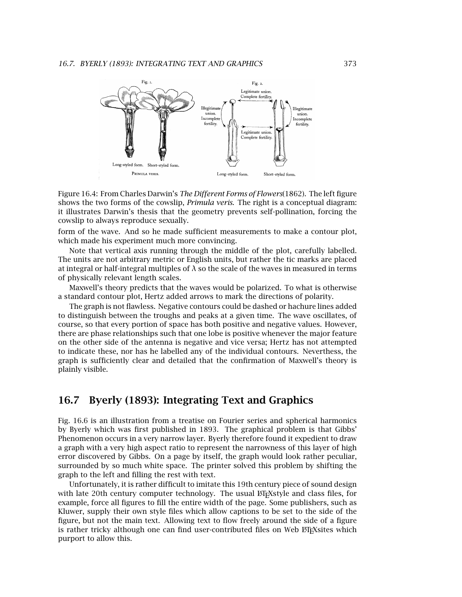

Figure 16.4: From Charles Darwin's *The Different Forms of Flowers*(1862). The left figure shows the two forms of the cowslip, *Primula veris*. The right is a conceptual diagram: it illustrates Darwin's thesis that the geometry prevents self-pollination, forcing the cowslip to always reproduce sexually.

form of the wave. And so he made sufficient measurements to make a contour plot, which made his experiment much more convincing.

Note that vertical axis running through the middle of the plot, carefully labelled. The units are not arbitrary metric or English units, but rather the tic marks are placed at integral or half-integral multiples of *λ* so the scale of the waves in measured in terms of physically relevant length scales.

Maxwell's theory predicts that the waves would be polarized. To what is otherwise a standard contour plot, Hertz added arrows to mark the directions of polarity.

The graph is not flawless. Negative contours could be dashed or hachure lines added to distinguish between the troughs and peaks at a given time. The wave oscillates, of course, so that every portion of space has both positive and negative values. However, there are phase relationships such that one lobe is positive whenever the major feature on the other side of the antenna is negative and vice versa; Hertz has not attempted to indicate these, nor has he labelled any of the individual contours. Neverthess, the graph is sufficiently clear and detailed that the confirmation of Maxwell's theory is plainly visible.

## **16.7 Byerly (1893): Integrating Text and Graphics**

Fig. 16.6 is an illustration from a treatise on Fourier series and spherical harmonics by Byerly which was first published in 1893. The graphical problem is that Gibbs' Phenomenon occurs in a very narrow layer. Byerly therefore found it expedient to draw a graph with a very high aspect ratio to represent the narrowness of this layer of high error discovered by Gibbs. On a page by itself, the graph would look rather peculiar, surrounded by so much white space. The printer solved this problem by shifting the graph to the left and filling the rest with text.

Unfortunately, it is rather difficult to imitate this 19th century piece of sound design with late 20th century computer technology. The usual ETEXstyle and class files, for example, force all figures to fill the entire width of the page. Some publishers, such as Kluwer, supply their own style files which allow captions to be set to the side of the figure, but not the main text. Allowing text to flow freely around the side of a figure is rather tricky although one can find user-contributed files on Web ETEXsites which purport to allow this.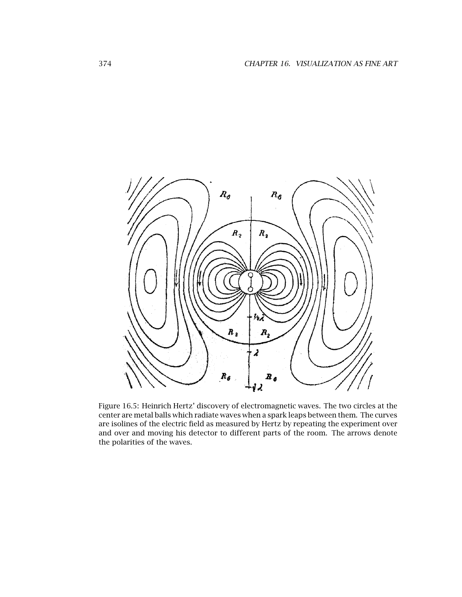

Figure 16.5: Heinrich Hertz' discovery of electromagnetic waves. The two circles at the center are metal balls which radiate waves when a spark leaps between them. The curves are isolines of the electric field as measured by Hertz by repeating the experiment over and over and moving his detector to different parts of the room. The arrows denote the polarities of the waves.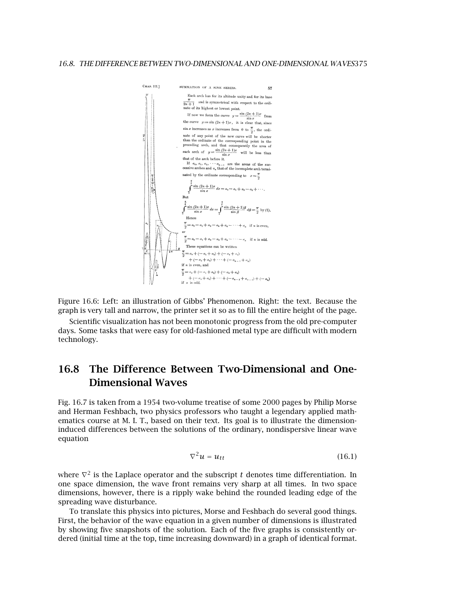

Figure 16.6: Left: an illustration of Gibbs' Phenomenon. Right: the text. Because the graph is very tall and narrow, the printer set it so as to fill the entire height of the page.

Scientific visualization has not been monotonic progress from the old pre-computer days. Some tasks that were easy for old-fashioned metal type are difficult with modern technology.

## **16.8 The Difference Between Two-Dimensional and One-Dimensional Waves**

Fig. 16.7 is taken from a 1954 two-volume treatise of some 2000 pages by Philip Morse and Herman Feshbach, two physics professors who taught a legendary applied mathematics course at M. I. T., based on their text. Its goal is to illustrate the dimensioninduced differences between the solutions of the ordinary, nondispersive linear wave equation

$$
\nabla^2 u = u_{tt} \tag{16.1}
$$

where  $\nabla^2$  is the Laplace operator and the subscript *t* denotes time differentiation. In one space dimension, the wave front remains very sharp at all times. In two space dimensions, however, there is a ripply wake behind the rounded leading edge of the spreading wave disturbance.

To translate this physics into pictures, Morse and Feshbach do several good things. First, the behavior of the wave equation in a given number of dimensions is illustrated by showing five snapshots of the solution. Each of the five graphs is consistently ordered (initial time at the top, time increasing downward) in a graph of identical format.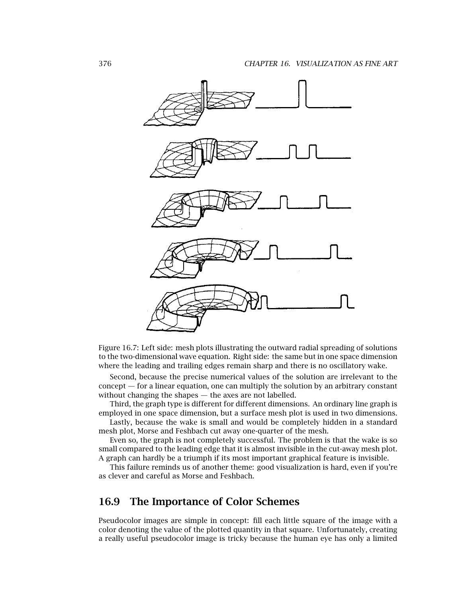

Figure 16.7: Left side: mesh plots illustrating the outward radial spreading of solutions to the two-dimensional wave equation. Right side: the same but in one space dimension where the leading and trailing edges remain sharp and there is no oscillatory wake.

Second, because the precise numerical values of the solution are irrelevant to the concept — for a linear equation, one can multiply the solution by an arbitrary constant without changing the shapes — the axes are not labelled.

Third, the graph type is different for different dimensions. An ordinary line graph is employed in one space dimension, but a surface mesh plot is used in two dimensions.

Lastly, because the wake is small and would be completely hidden in a standard mesh plot, Morse and Feshbach cut away one-quarter of the mesh.

Even so, the graph is not completely successful. The problem is that the wake is so small compared to the leading edge that it is almost invisible in the cut-away mesh plot. A graph can hardly be a triumph if its most important graphical feature is invisible.

This failure reminds us of another theme: good visualization is hard, even if you're as clever and careful as Morse and Feshbach.

#### **16.9 The Importance of Color Schemes**

Pseudocolor images are simple in concept: fill each little square of the image with a color denoting the value of the plotted quantity in that square. Unfortunately, creating a really useful pseudocolor image is tricky because the human eye has only a limited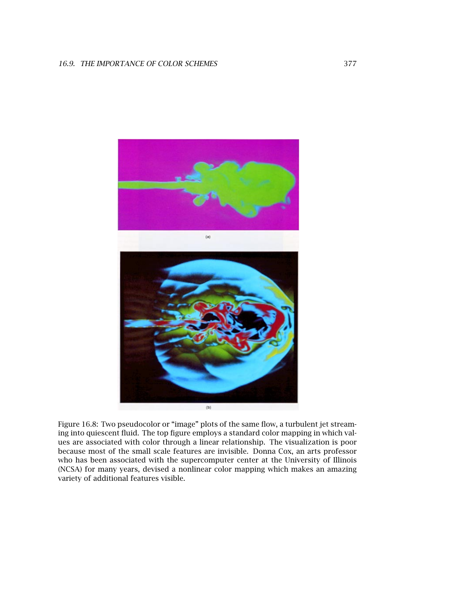

Figure 16.8: Two pseudocolor or "image" plots of the same flow, a turbulent jet streaming into quiescent fluid. The top figure employs a standard color mapping in which values are associated with color through a linear relationship. The visualization is poor because most of the small scale features are invisible. Donna Cox, an arts professor who has been associated with the supercomputer center at the University of Illinois (NCSA) for many years, devised a nonlinear color mapping which makes an amazing variety of additional features visible.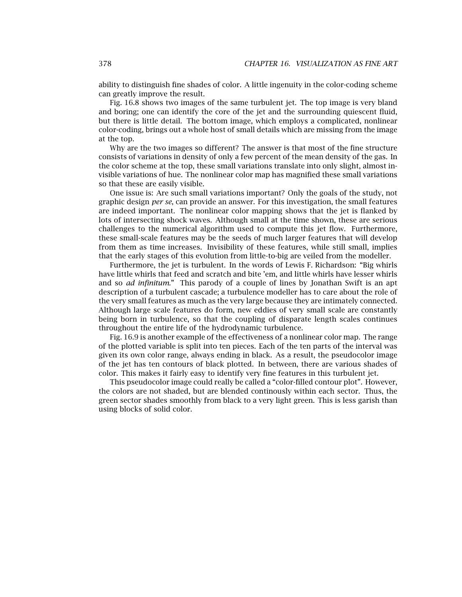ability to distinguish fine shades of color. A little ingenuity in the color-coding scheme can greatly improve the result.

Fig. 16.8 shows two images of the same turbulent jet. The top image is very bland and boring; one can identify the core of the jet and the surrounding quiescent fluid, but there is little detail. The bottom image, which employs a complicated, nonlinear color-coding, brings out a whole host of small details which are missing from the image at the top.

Why are the two images so different? The answer is that most of the fine structure consists of variations in density of only a few percent of the mean density of the gas. In the color scheme at the top, these small variations translate into only slight, almost invisible variations of hue. The nonlinear color map has magnified these small variations so that these are easily visible.

One issue is: Are such small variations important? Only the goals of the study, not graphic design *per se*, can provide an answer. For this investigation, the small features are indeed important. The nonlinear color mapping shows that the jet is flanked by lots of intersecting shock waves. Although small at the time shown, these are serious challenges to the numerical algorithm used to compute this jet flow. Furthermore, these small-scale features may be the seeds of much larger features that will develop from them as time increases. Invisibility of these features, while still small, implies that the early stages of this evolution from little-to-big are veiled from the modeller.

Furthermore, the jet is turbulent. In the words of Lewis F. Richardson: "Big whirls have little whirls that feed and scratch and bite 'em, and little whirls have lesser whirls and so *ad infinitum*." This parody of a couple of lines by Jonathan Swift is an apt description of a turbulent cascade; a turbulence modeller has to care about the role of the very small features as much as the very large because they are intimately connected. Although large scale features do form, new eddies of very small scale are constantly being born in turbulence, so that the coupling of disparate length scales continues throughout the entire life of the hydrodynamic turbulence.

Fig. 16.9 is another example of the effectiveness of a nonlinear color map. The range of the plotted variable is split into ten pieces. Each of the ten parts of the interval was given its own color range, always ending in black. As a result, the pseudocolor image of the jet has ten contours of black plotted. In between, there are various shades of color. This makes it fairly easy to identify very fine features in this turbulent jet.

This pseudocolor image could really be called a "color-filled contour plot". However, the colors are not shaded, but are blended continously within each sector. Thus, the green sector shades smoothly from black to a very light green. This is less garish than using blocks of solid color.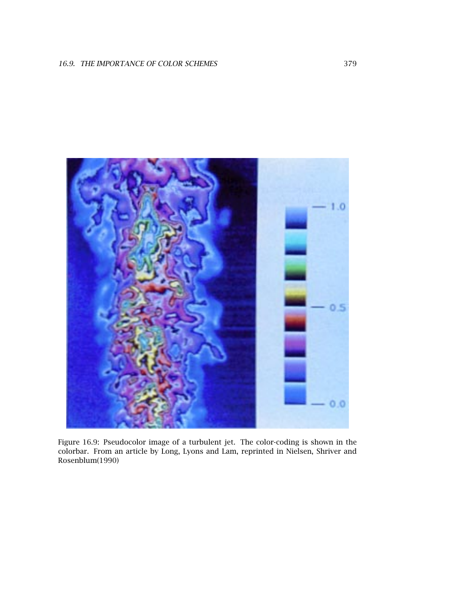

Figure 16.9: Pseudocolor image of a turbulent jet. The color-coding is shown in the colorbar. From an article by Long, Lyons and Lam, reprinted in Nielsen, Shriver and Rosenblum(1990)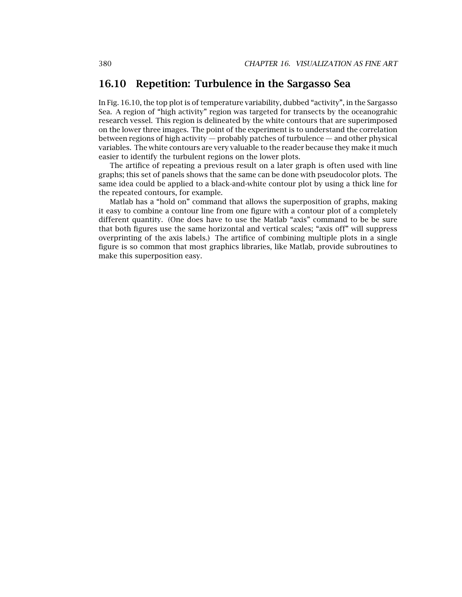## **16.10 Repetition: Turbulence in the Sargasso Sea**

In Fig. 16.10, the top plot is of temperature variability, dubbed "activity", in the Sargasso Sea. A region of "high activity" region was targeted for transects by the oceanograhic research vessel. This region is delineated by the white contours that are superimposed on the lower three images. The point of the experiment is to understand the correlation between regions of high activity — probably patches of turbulence — and other physical variables. The white contours are very valuable to the reader because they make it much easier to identify the turbulent regions on the lower plots.

The artifice of repeating a previous result on a later graph is often used with line graphs; this set of panels shows that the same can be done with pseudocolor plots. The same idea could be applied to a black-and-white contour plot by using a thick line for the repeated contours, for example.

Matlab has a "hold on" command that allows the superposition of graphs, making it easy to combine a contour line from one figure with a contour plot of a completely different quantity. (One does have to use the Matlab "axis" command to be be sure that both figures use the same horizontal and vertical scales; "axis off" will suppress overprinting of the axis labels.) The artifice of combining multiple plots in a single figure is so common that most graphics libraries, like Matlab, provide subroutines to make this superposition easy.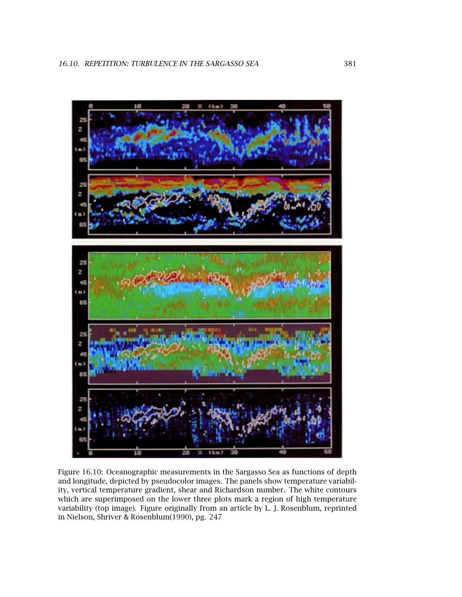

Figure 16.10: Oceanographic measurements in the Sargasso Sea as functions of depth and longitude, depicted by pseudocolor images. The panels show temperature variability, vertical temperature gradient, shear and Richardson number. The white contours which are superimposed on the lower three plots mark a region of high temperature variability (top image). Figure originally from an article by L. J. Rosenblum, reprinted in Nielson, Shriver & Rosenblum(1990), pg. 247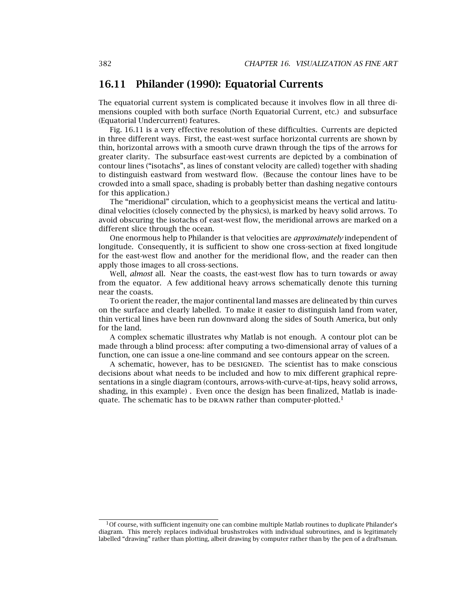#### **16.11 Philander (1990): Equatorial Currents**

The equatorial current system is complicated because it involves flow in all three dimensions coupled with both surface (North Equatorial Current, etc.) and subsurface (Equatorial Undercurrent) features.

Fig. 16.11 is a very effective resolution of these difficulties. Currents are depicted in three different ways. First, the east-west surface horizontal currents are shown by thin, horizontal arrows with a smooth curve drawn through the tips of the arrows for greater clarity. The subsurface east-west currents are depicted by a combination of contour lines ("isotachs", as lines of constant velocity are called) together with shading to distinguish eastward from westward flow. (Because the contour lines have to be crowded into a small space, shading is probably better than dashing negative contours for this application.)

The "meridional" circulation, which to a geophysicist means the vertical and latitudinal velocities (closely connected by the physics), is marked by heavy solid arrows. To avoid obscuring the isotachs of east-west flow, the meridional arrows are marked on a different slice through the ocean.

One enormous help to Philander is that velocities are *approximately* independent of longitude. Consequently, it is sufficient to show one cross-section at fixed longitude for the east-west flow and another for the meridional flow, and the reader can then apply those images to all cross-sections.

Well, *almost* all. Near the coasts, the east-west flow has to turn towards or away from the equator. A few additional heavy arrows schematically denote this turning near the coasts.

To orient the reader, the major continental land masses are delineated by thin curves on the surface and clearly labelled. To make it easier to distinguish land from water, thin vertical lines have been run downward along the sides of South America, but only for the land.

A complex schematic illustrates why Matlab is not enough. A contour plot can be made through a blind process: after computing a two-dimensional array of values of a function, one can issue a one-line command and see contours appear on the screen.

A schematic, however, has to be DESIGNED. The scientist has to make conscious decisions about what needs to be included and how to mix different graphical representations in a single diagram (contours, arrows-with-curve-at-tips, heavy solid arrows, shading, in this example) . Even once the design has been finalized, Matlab is inadequate. The schematic has to be DRAWN rather than computer-plotted.<sup>1</sup>

 $10f$  course, with sufficient ingenuity one can combine multiple Matlab routines to duplicate Philander's diagram. This merely replaces individual brushstrokes with individual subroutines, and is legitimately labelled "drawing" rather than plotting, albeit drawing by computer rather than by the pen of a draftsman.